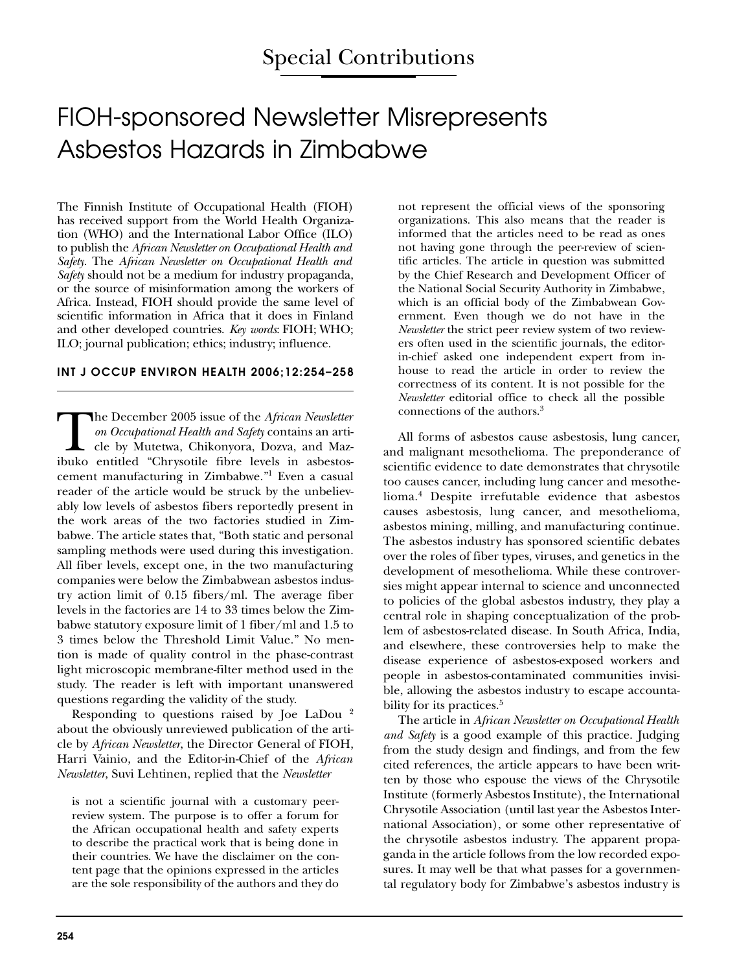## FIOH-sponsored Newsletter Misrepresents Asbestos Hazards in Zimbabwe

The Finnish Institute of Occupational Health (FIOH) has received support from the World Health Organization (WHO) and the International Labor Office (ILO) to publish the *African Newsletter on Occupational Health and Safety*. The *African Newsletter on Occupational Health and Safety* should not be a medium for industry propaganda, or the source of misinformation among the workers of Africa. Instead, FIOH should provide the same level of scientific information in Africa that it does in Finland and other developed countries. *Key words*: FIOH; WHO; ILO; journal publication; ethics; industry; influence.

## **INT J OCCUP ENVIRON HEALTH 2006;12:254–258**

The December 2005 issue of the *African Newsletter*<br>
on Occupational Health and Safety contains an arti-<br>
cle by Mutetwa, Chikonyora, Dozva, and Maz-<br>
ibuko entitled "Chrysotile fibre levels in asbestos*on Occupational Health and Safety* contains an article by Mutetwa, Chikonyora, Dozva, and Mazcement manufacturing in Zimbabwe."1 Even a casual reader of the article would be struck by the unbelievably low levels of asbestos fibers reportedly present in the work areas of the two factories studied in Zimbabwe. The article states that, "Both static and personal sampling methods were used during this investigation. All fiber levels, except one, in the two manufacturing companies were below the Zimbabwean asbestos industry action limit of 0.15 fibers/ml. The average fiber levels in the factories are 14 to 33 times below the Zimbabwe statutory exposure limit of 1 fiber/ml and 1.5 to 3 times below the Threshold Limit Value." No mention is made of quality control in the phase-contrast light microscopic membrane-filter method used in the study. The reader is left with important unanswered questions regarding the validity of the study.

Responding to questions raised by Joe LaDou 2 about the obviously unreviewed publication of the article by *African Newsletter*, the Director General of FIOH, Harri Vainio, and the Editor-in-Chief of the *African Newsletter*, Suvi Lehtinen, replied that the *Newsletter*

is not a scientific journal with a customary peerreview system. The purpose is to offer a forum for the African occupational health and safety experts to describe the practical work that is being done in their countries. We have the disclaimer on the content page that the opinions expressed in the articles are the sole responsibility of the authors and they do

not represent the official views of the sponsoring organizations. This also means that the reader is informed that the articles need to be read as ones not having gone through the peer-review of scientific articles. The article in question was submitted by the Chief Research and Development Officer of the National Social Security Authority in Zimbabwe, which is an official body of the Zimbabwean Government. Even though we do not have in the *Newsletter* the strict peer review system of two reviewers often used in the scientific journals, the editorin-chief asked one independent expert from inhouse to read the article in order to review the correctness of its content. It is not possible for the *Newsletter* editorial office to check all the possible connections of the authors.3

All forms of asbestos cause asbestosis, lung cancer, and malignant mesothelioma. The preponderance of scientific evidence to date demonstrates that chrysotile too causes cancer, including lung cancer and mesothelioma.4 Despite irrefutable evidence that asbestos causes asbestosis, lung cancer, and mesothelioma, asbestos mining, milling, and manufacturing continue. The asbestos industry has sponsored scientific debates over the roles of fiber types, viruses, and genetics in the development of mesothelioma. While these controversies might appear internal to science and unconnected to policies of the global asbestos industry, they play a central role in shaping conceptualization of the problem of asbestos-related disease. In South Africa, India, and elsewhere, these controversies help to make the disease experience of asbestos-exposed workers and people in asbestos-contaminated communities invisible, allowing the asbestos industry to escape accountability for its practices.<sup>5</sup>

The article in *African Newsletter on Occupational Health and Safety* is a good example of this practice. Judging from the study design and findings, and from the few cited references, the article appears to have been written by those who espouse the views of the Chrysotile Institute (formerly Asbestos Institute), the International Chrysotile Association (until last year the Asbestos International Association), or some other representative of the chrysotile asbestos industry. The apparent propaganda in the article follows from the low recorded exposures. It may well be that what passes for a governmental regulatory body for Zimbabwe's asbestos industry is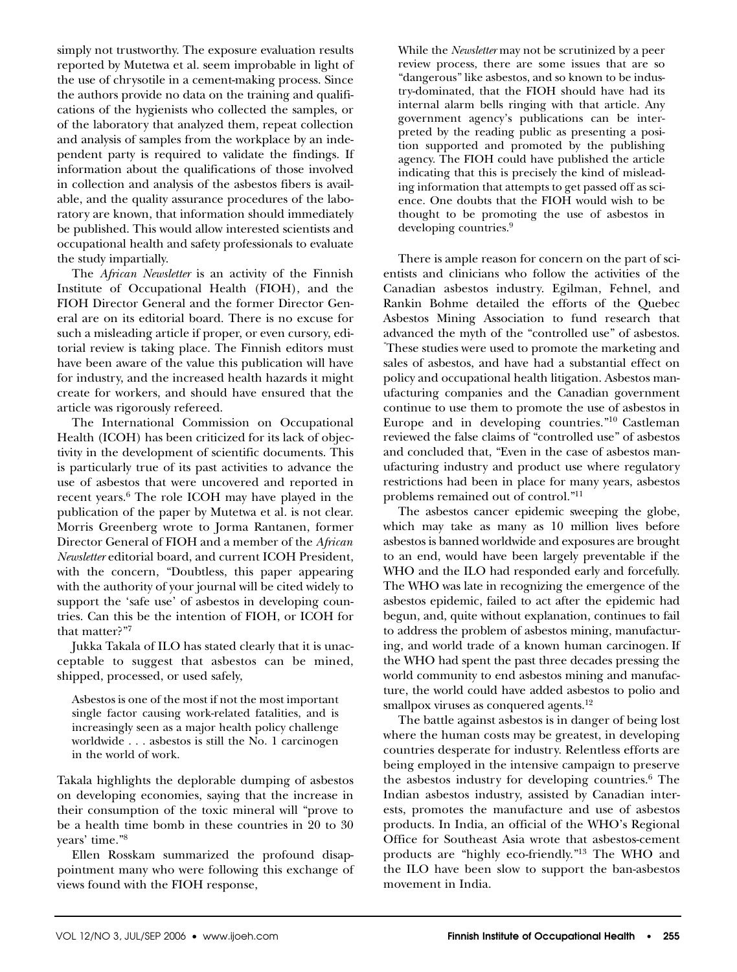simply not trustworthy. The exposure evaluation results reported by Mutetwa et al. seem improbable in light of the use of chrysotile in a cement-making process. Since the authors provide no data on the training and qualifications of the hygienists who collected the samples, or of the laboratory that analyzed them, repeat collection and analysis of samples from the workplace by an independent party is required to validate the findings. If information about the qualifications of those involved in collection and analysis of the asbestos fibers is available, and the quality assurance procedures of the laboratory are known, that information should immediately be published. This would allow interested scientists and occupational health and safety professionals to evaluate the study impartially.

The *African Newsletter* is an activity of the Finnish Institute of Occupational Health (FIOH), and the FIOH Director General and the former Director General are on its editorial board. There is no excuse for such a misleading article if proper, or even cursory, editorial review is taking place. The Finnish editors must have been aware of the value this publication will have for industry, and the increased health hazards it might create for workers, and should have ensured that the article was rigorously refereed.

The International Commission on Occupational Health (ICOH) has been criticized for its lack of objectivity in the development of scientific documents. This is particularly true of its past activities to advance the use of asbestos that were uncovered and reported in recent years.6 The role ICOH may have played in the publication of the paper by Mutetwa et al. is not clear. Morris Greenberg wrote to Jorma Rantanen, former Director General of FIOH and a member of the *African Newsletter* editorial board, and current ICOH President, with the concern, "Doubtless, this paper appearing with the authority of your journal will be cited widely to support the 'safe use' of asbestos in developing countries. Can this be the intention of FIOH, or ICOH for that matter?"7

Jukka Takala of ILO has stated clearly that it is unacceptable to suggest that asbestos can be mined, shipped, processed, or used safely,

Asbestos is one of the most if not the most important single factor causing work-related fatalities, and is increasingly seen as a major health policy challenge worldwide . . . asbestos is still the No. 1 carcinogen in the world of work.

Takala highlights the deplorable dumping of asbestos on developing economies, saying that the increase in their consumption of the toxic mineral will "prove to be a health time bomb in these countries in 20 to 30 years' time."8

Ellen Rosskam summarized the profound disappointment many who were following this exchange of views found with the FIOH response,

While the *Newsletter* may not be scrutinized by a peer review process, there are some issues that are so "dangerous" like asbestos, and so known to be industry-dominated, that the FIOH should have had its internal alarm bells ringing with that article. Any government agency's publications can be interpreted by the reading public as presenting a position supported and promoted by the publishing agency. The FIOH could have published the article indicating that this is precisely the kind of misleading information that attempts to get passed off as science. One doubts that the FIOH would wish to be thought to be promoting the use of asbestos in developing countries.<sup>9</sup>

There is ample reason for concern on the part of scientists and clinicians who follow the activities of the Canadian asbestos industry. Egilman, Fehnel, and Rankin Bohme detailed the efforts of the Quebec Asbestos Mining Association to fund research that advanced the myth of the "controlled use" of asbestos. " These studies were used to promote the marketing and sales of asbestos, and have had a substantial effect on policy and occupational health litigation. Asbestos manufacturing companies and the Canadian government continue to use them to promote the use of asbestos in Europe and in developing countries."10 Castleman reviewed the false claims of "controlled use" of asbestos and concluded that, "Even in the case of asbestos manufacturing industry and product use where regulatory restrictions had been in place for many years, asbestos problems remained out of control."11

The asbestos cancer epidemic sweeping the globe, which may take as many as 10 million lives before asbestos is banned worldwide and exposures are brought to an end, would have been largely preventable if the WHO and the ILO had responded early and forcefully. The WHO was late in recognizing the emergence of the asbestos epidemic, failed to act after the epidemic had begun, and, quite without explanation, continues to fail to address the problem of asbestos mining, manufacturing, and world trade of a known human carcinogen. If the WHO had spent the past three decades pressing the world community to end asbestos mining and manufacture, the world could have added asbestos to polio and smallpox viruses as conquered agents.<sup>12</sup>

The battle against asbestos is in danger of being lost where the human costs may be greatest, in developing countries desperate for industry. Relentless efforts are being employed in the intensive campaign to preserve the asbestos industry for developing countries.6 The Indian asbestos industry, assisted by Canadian interests, promotes the manufacture and use of asbestos products. In India, an official of the WHO's Regional Office for Southeast Asia wrote that asbestos-cement products are "highly eco-friendly."13 The WHO and the ILO have been slow to support the ban-asbestos movement in India.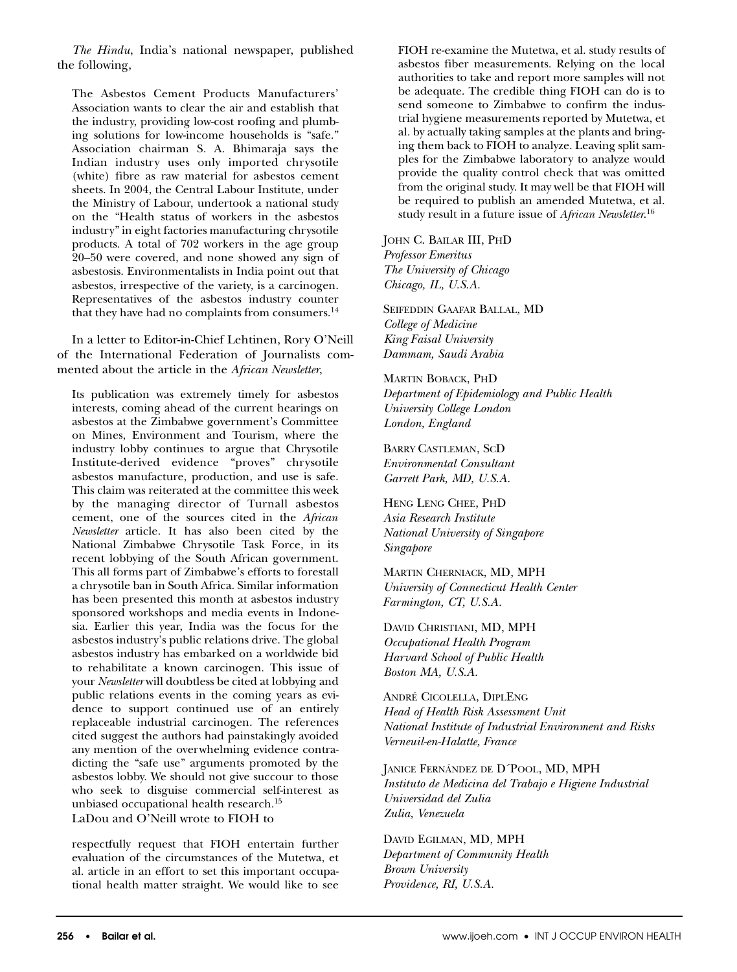*The Hindu*, India's national newspaper, published the following,

The Asbestos Cement Products Manufacturers' Association wants to clear the air and establish that the industry, providing low-cost roofing and plumbing solutions for low-income households is "safe." Association chairman S. A. Bhimaraja says the Indian industry uses only imported chrysotile (white) fibre as raw material for asbestos cement sheets. In 2004, the Central Labour Institute, under the Ministry of Labour, undertook a national study on the "Health status of workers in the asbestos industry" in eight factories manufacturing chrysotile products. A total of 702 workers in the age group 20–50 were covered, and none showed any sign of asbestosis. Environmentalists in India point out that asbestos, irrespective of the variety, is a carcinogen. Representatives of the asbestos industry counter that they have had no complaints from consumers.<sup>14</sup>

In a letter to Editor-in-Chief Lehtinen, Rory O'Neill of the International Federation of Journalists commented about the article in the *African Newsletter*,

Its publication was extremely timely for asbestos interests, coming ahead of the current hearings on asbestos at the Zimbabwe government's Committee on Mines, Environment and Tourism, where the industry lobby continues to argue that Chrysotile Institute-derived evidence "proves" chrysotile asbestos manufacture, production, and use is safe. This claim was reiterated at the committee this week by the managing director of Turnall asbestos cement, one of the sources cited in the *African Newsletter* article. It has also been cited by the National Zimbabwe Chrysotile Task Force, in its recent lobbying of the South African government. This all forms part of Zimbabwe's efforts to forestall a chrysotile ban in South Africa. Similar information has been presented this month at asbestos industry sponsored workshops and media events in Indonesia. Earlier this year, India was the focus for the asbestos industry's public relations drive. The global asbestos industry has embarked on a worldwide bid to rehabilitate a known carcinogen. This issue of your *Newsletter* will doubtless be cited at lobbying and public relations events in the coming years as evidence to support continued use of an entirely replaceable industrial carcinogen. The references cited suggest the authors had painstakingly avoided any mention of the overwhelming evidence contradicting the "safe use" arguments promoted by the asbestos lobby. We should not give succour to those who seek to disguise commercial self-interest as unbiased occupational health research.15 LaDou and O'Neill wrote to FIOH to

respectfully request that FIOH entertain further evaluation of the circumstances of the Mutetwa, et al. article in an effort to set this important occupational health matter straight. We would like to see

FIOH re-examine the Mutetwa, et al. study results of asbestos fiber measurements. Relying on the local authorities to take and report more samples will not be adequate. The credible thing FIOH can do is to send someone to Zimbabwe to confirm the industrial hygiene measurements reported by Mutetwa, et al. by actually taking samples at the plants and bringing them back to FIOH to analyze. Leaving split samples for the Zimbabwe laboratory to analyze would provide the quality control check that was omitted from the original study. It may well be that FIOH will be required to publish an amended Mutetwa, et al. study result in a future issue of *African Newsletter*. 16

JOHN C. BAILAR III, PHD *Professor Emeritus The University of Chicago Chicago, IL, U.S.A.*

SEIFEDDIN GAAFAR BALLAL, MD *College of Medicine King Faisal University Dammam, Saudi Arabia*

MARTIN BOBACK, PHD *Department of Epidemiology and Public Health University College London London, England*

BARRY CASTLEMAN, SCD *Environmental Consultant Garrett Park, MD, U.S.A.*

HENG LENG CHEE, PHD *Asia Research Institute National University of Singapore Singapore*

MARTIN CHERNIACK, MD, MPH *University of Connecticut Health Center Farmington, CT, U.S.A.*

DAVID CHRISTIANI, MD, MPH *Occupational Health Program Harvard School of Public Health Boston MA, U.S.A.*

ANDRÉ CICOLELLA, DIPLENG *Head of Health Risk Assessment Unit National Institute of Industrial Environment and Risks Verneuil-en-Halatte, France*

JANICE FERNÁNDEZ DE D´POOL, MD, MPH *Instituto de Medicina del Trabajo e Higiene Industrial Universidad del Zulia Zulia, Venezuela*

DAVID EGILMAN, MD, MPH *Department of Community Health Brown University Providence, RI, U.S.A.*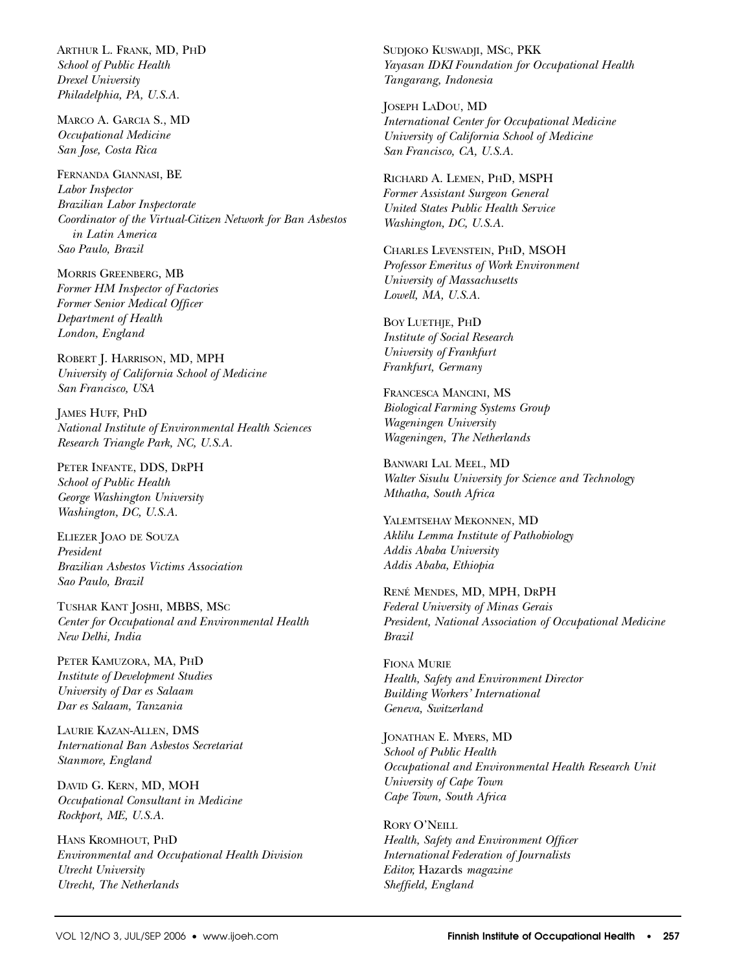ARTHUR L. FRANK, MD, PHD *School of Public Health Drexel University Philadelphia, PA, U.S.A.*

MARCO A. GARCIA S., MD *Occupational Medicine San Jose, Costa Rica*

FERNANDA GIANNASI, BE *Labor Inspector Brazilian Labor Inspectorate Coordinator of the Virtual-Citizen Network for Ban Asbestos in Latin America Sao Paulo, Brazil*

MORRIS GREENBERG, MB *Former HM Inspector of Factories Former Senior Medical Officer Department of Health London, England*

ROBERT J. HARRISON, MD, MPH *University of California School of Medicine San Francisco, USA*

JAMES HUFF, PHD *National Institute of Environmental Health Sciences Research Triangle Park, NC, U.S.A.*

PETER INFANTE, DDS, DRPH *School of Public Health George Washington University Washington, DC, U.S.A.*

ELIEZER JOAO DE SOUZA *President Brazilian Asbestos Victims Association Sao Paulo, Brazil*

TUSHAR KANT JOSHI, MBBS, MSC *Center for Occupational and Environmental Health New Delhi, India*

PETER KAMUZORA, MA, PHD *Institute of Development Studies University of Dar es Salaam Dar es Salaam, Tanzania*

LAURIE KAZAN-ALLEN, DMS *International Ban Asbestos Secretariat Stanmore, England*

DAVID G. KERN, MD, MOH *Occupational Consultant in Medicine Rockport, ME, U.S.A.*

HANS KROMHOUT, PHD *Environmental and Occupational Health Division Utrecht University Utrecht, The Netherlands*

SUDJOKO KUSWADJI, MSC, PKK *Yayasan IDKI Foundation for Occupational Health Tangarang, Indonesia*

JOSEPH LADOU, MD *International Center for Occupational Medicine University of California School of Medicine San Francisco, CA, U.S.A.*

RICHARD A. LEMEN, PHD, MSPH *Former Assistant Surgeon General United States Public Health Service Washington, DC, U.S.A.*

CHARLES LEVENSTEIN, PHD, MSOH *Professor Emeritus of Work Environment University of Massachusetts Lowell, MA, U.S.A.*

BOY LUETHJE, PHD *Institute of Social Research University of Frankfurt Frankfurt, Germany*

FRANCESCA MANCINI, MS *Biological Farming Systems Group Wageningen University Wageningen, The Netherlands*

BANWARI LAL MEEL, MD *Walter Sisulu University for Science and Technology Mthatha, South Africa*

YALEMTSEHAY MEKONNEN, MD *Aklilu Lemma Institute of Pathobiology Addis Ababa University Addis Ababa, Ethiopia*

RENÉ MENDES, MD, MPH, DRPH *Federal University of Minas Gerais President, National Association of Occupational Medicine Brazil*

FIONA MURIE *Health, Safety and Environment Director Building Workers' International Geneva, Switzerland*

JONATHAN E. MYERS, MD *School of Public Health Occupational and Environmental Health Research Unit University of Cape Town Cape Town, South Africa*

RORY O'NEILL *Health, Safety and Environment Officer International Federation of Journalists Editor,* Hazards *magazine Sheffield, England*